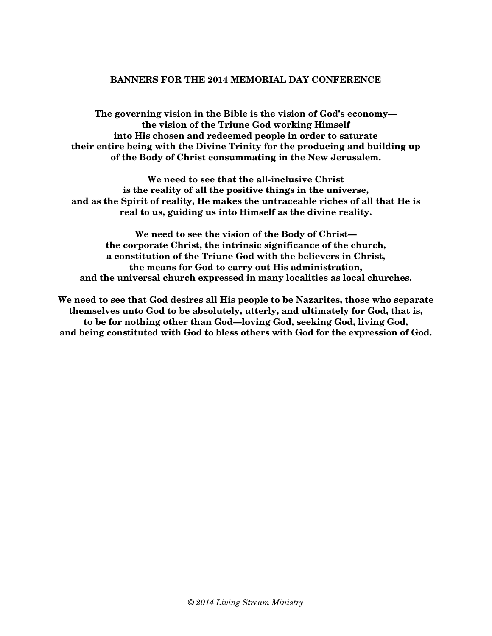### **BANNERS FOR THE 2014 MEMORIAL DAY CONFERENCE**

**The governing vision in the Bible is the vision of God's economy the vision of the Triune God working Himself into His chosen and redeemed people in order to saturate their entire being with the Divine Trinity for the producing and building up of the Body of Christ consummating in the New Jerusalem.** 

**We need to see that the all-inclusive Christ is the reality of all the positive things in the universe, and as the Spirit of reality, He makes the untraceable riches of all that He is real to us, guiding us into Himself as the divine reality.** 

**We need to see the vision of the Body of Christ the corporate Christ, the intrinsic significance of the church, a constitution of the Triune God with the believers in Christ, the means for God to carry out His administration, and the universal church expressed in many localities as local churches.** 

**We need to see that God desires all His people to be Nazarites, those who separate themselves unto God to be absolutely, utterly, and ultimately for God, that is, to be for nothing other than God—loving God, seeking God, living God, and being constituted with God to bless others with God for the expression of God.**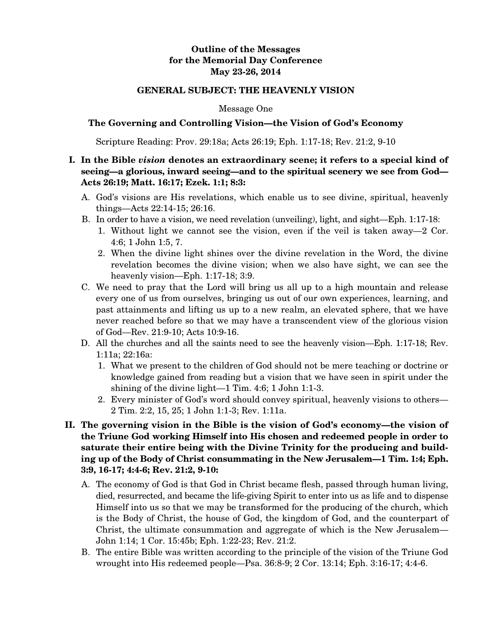### **Outline of the Messages for the Memorial Day Conference May 23-26, 2014**

### **GENERAL SUBJECT: THE HEAVENLY VISION**

#### Message One

### **The Governing and Controlling Vision—the Vision of God's Economy**

Scripture Reading: Prov. 29:18a; Acts 26:19; Eph. 1:17-18; Rev. 21:2, 9-10

## **I. In the Bible** *vision* **denotes an extraordinary scene; it refers to a special kind of seeing—a glorious, inward seeing—and to the spiritual scenery we see from God— Acts 26:19; Matt. 16:17; Ezek. 1:1; 8:3:**

- A. God's visions are His revelations, which enable us to see divine, spiritual, heavenly things—Acts 22:14-15; 26:16.
- B. In order to have a vision, we need revelation (unveiling), light, and sight—Eph. 1:17-18:
	- 1. Without light we cannot see the vision, even if the veil is taken away—2 Cor. 4:6; 1 John 1:5, 7.
	- 2. When the divine light shines over the divine revelation in the Word, the divine revelation becomes the divine vision; when we also have sight, we can see the heavenly vision—Eph. 1:17-18; 3:9.
- C. We need to pray that the Lord will bring us all up to a high mountain and release every one of us from ourselves, bringing us out of our own experiences, learning, and past attainments and lifting us up to a new realm, an elevated sphere, that we have never reached before so that we may have a transcendent view of the glorious vision of God—Rev. 21:9-10; Acts 10:9-16.
- D. All the churches and all the saints need to see the heavenly vision—Eph. 1:17-18; Rev. 1:11a; 22:16a:
	- 1. What we present to the children of God should not be mere teaching or doctrine or knowledge gained from reading but a vision that we have seen in spirit under the shining of the divine light—1 Tim. 4:6; 1 John 1:1-3.
	- 2. Every minister of God's word should convey spiritual, heavenly visions to others— 2 Tim. 2:2, 15, 25; 1 John 1:1-3; Rev. 1:11a.
- **II. The governing vision in the Bible is the vision of God's economy—the vision of the Triune God working Himself into His chosen and redeemed people in order to saturate their entire being with the Divine Trinity for the producing and building up of the Body of Christ consummating in the New Jerusalem—1 Tim. 1:4; Eph. 3:9, 16-17; 4:4-6; Rev. 21:2, 9-10:** 
	- A. The economy of God is that God in Christ became flesh, passed through human living, died, resurrected, and became the life-giving Spirit to enter into us as life and to dispense Himself into us so that we may be transformed for the producing of the church, which is the Body of Christ, the house of God, the kingdom of God, and the counterpart of Christ, the ultimate consummation and aggregate of which is the New Jerusalem— John 1:14; 1 Cor. 15:45b; Eph. 1:22-23; Rev. 21:2.
	- B. The entire Bible was written according to the principle of the vision of the Triune God wrought into His redeemed people—Psa. 36:8-9; 2 Cor. 13:14; Eph. 3:16-17; 4:4-6.